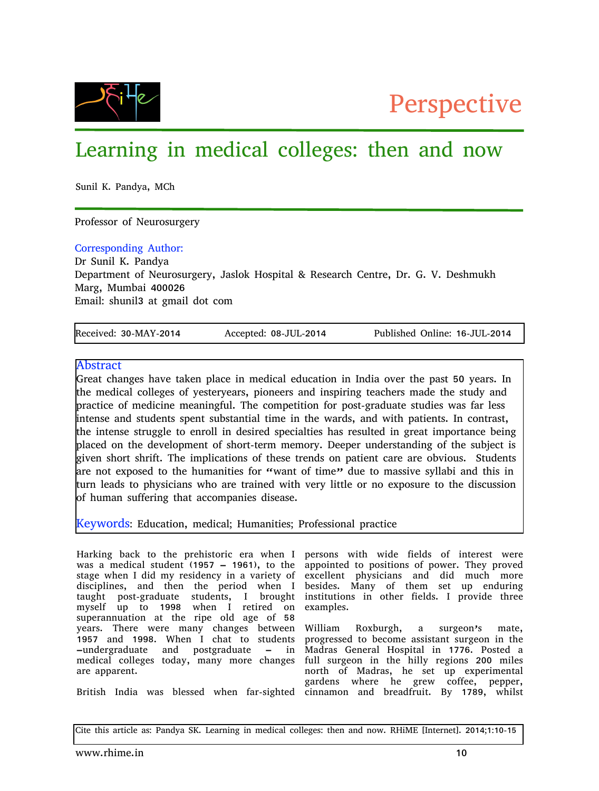



# Learning in medical colleges: then and now

Sunil K. Pandya, MCh

Professor of Neurosurgery

# Corresponding Author:

Dr Sunil K. Pandya

Department of Neurosurgery, Jaslok Hospital & Research Centre, Dr. G. V. Deshmukh Marg, Mumbai 400026 Email: shunil3 at gmail dot com

| Received: 30-MAY-2014 | Accepted: 08-JUL-2014 | Published Online: 16-JUL-2014 |
|-----------------------|-----------------------|-------------------------------|

# Abstract

Great changes have taken place in medical education in India over the past 50 years. In the medical colleges of yesteryears, pioneers and inspiring teachers made the study and practice of medicine meaningful. The competition for post-graduate studies was far less intense and students spent substantial time in the wards, and with patients. In contrast, the intense struggle to enroll in desired specialties has resulted in great importance being placed on the development of short-term memory. Deeper understanding of the subject is given short shrift. The implications of these trends on patient care are obvious. Students are not exposed to the humanities for "want of time" due to massive syllabi and this in turn leads to physicians who are trained with very little or no exposure to the discussion of human suffering that accompanies disease.

Keywords: Education, medical; Humanities; Professional practice

Harking back to the prehistoric era when I persons with wide fields of interest were was a medical student (1957 – 1961), to the stage when I did my residency in a variety of disciplines, and then the period when I taught post-graduate students, I brought myself up to 1998 when I retired on superannuation at the ripe old age of 58 years. There were many changes between 1957 and 1998. When I chat to students –undergraduate and postgraduate – in medical colleges today, many more changes are apparent.

British India was blessed when far-sighted cinnamon and breadfruit. By 1789, whilst

appointed to positions of power. They proved excellent physicians and did much more besides. Many of them set up enduring institutions in other fields. I provide three examples.

William Roxburgh, a surgeon's mate, progressed to become assistant surgeon in the Madras General Hospital in 1776. Posted a full surgeon in the hilly regions 200 miles north of Madras, he set up experimental gardens where he grew coffee, pepper,

Cite this article as: Pandya SK. Learning in medical colleges: then and now. RHiME [Internet]. 2014;1:10-15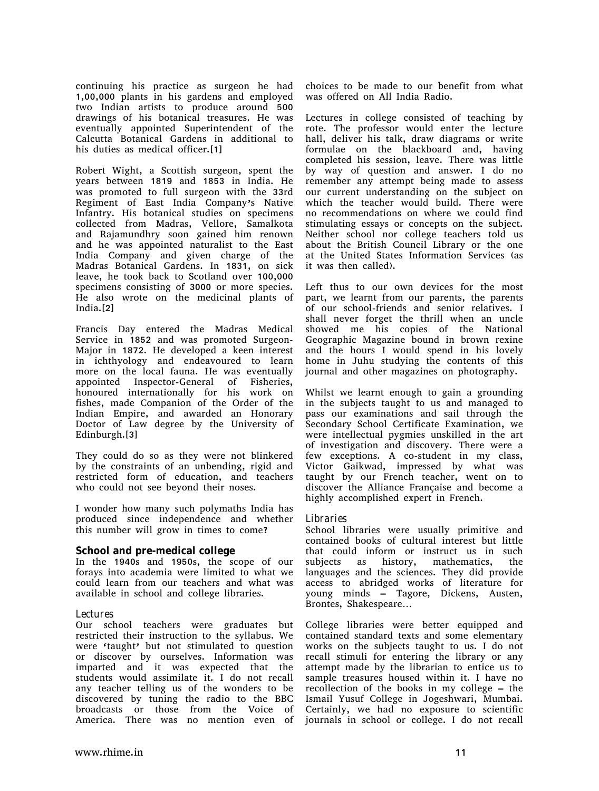continuing his practice as surgeon he had 1,00,000 plants in his gardens and employed two Indian artists to produce around 500 drawings of his botanical treasures. He was eventually appointed Superintendent of the Calcutta Botanical Gardens in additional to his duties as medical officer.[1]

Robert Wight, a Scottish surgeon, spent the years between 1819 and 1853 in India. He was promoted to full surgeon with the 33rd Regiment of East India Company's Native Infantry. His botanical studies on specimens collected from Madras, Vellore, Samalkota and Rajamundhry soon gained him renown and he was appointed naturalist to the East India Company and given charge of the Madras Botanical Gardens. In 1831, on sick leave, he took back to Scotland over 100,000 specimens consisting of 3000 or more species. He also wrote on the medicinal plants of India.[2]

Francis Day entered the Madras Medical Service in 1852 and was promoted Surgeon-Major in 1872. He developed a keen interest in ichthyology and endeavoured to learn more on the local fauna. He was eventually appointed Inspector-General of Fisheries, honoured internationally for his work on fishes, made Companion of the Order of the Indian Empire, and awarded an Honorary Doctor of Law degree by the University of Edinburgh.[3]

They could do so as they were not blinkered by the constraints of an unbending, rigid and restricted form of education, and teachers who could not see beyond their noses.

I wonder how many such polymaths India has produced since independence and whether this number will grow in times to come?

#### **School and premedical college**

In the 1940s and 1950s, the scope of our forays into academia were limited to what we could learn from our teachers and what was available in school and college libraries.

#### *Lectures*

Our school teachers were graduates but restricted their instruction to the syllabus. We were 'taught' but not stimulated to question or discover by ourselves. Information was imparted and it was expected that the students would assimilate it. I do not recall any teacher telling us of the wonders to be discovered by tuning the radio to the BBC broadcasts or those from the Voice of America. There was no mention even of

choices to be made to our benefit from what was offered on All India Radio.

Lectures in college consisted of teaching by rote. The professor would enter the lecture hall, deliver his talk, draw diagrams or write formulae on the blackboard and, having completed his session, leave. There was little by way of question and answer. I do no remember any attempt being made to assess our current understanding on the subject on which the teacher would build. There were no recommendations on where we could find stimulating essays or concepts on the subject. Neither school nor college teachers told us about the British Council Library or the one at the United States Information Services (as it was then called).

Left thus to our own devices for the most part, we learnt from our parents, the parents of our school-friends and senior relatives. I shall never forget the thrill when an uncle showed me his copies of the National Geographic Magazine bound in brown rexine and the hours I would spend in his lovely home in Juhu studying the contents of this journal and other magazines on photography.

Whilst we learnt enough to gain a grounding in the subjects taught to us and managed to pass our examinations and sail through the Secondary School Certificate Examination, we were intellectual pygmies unskilled in the art of investigation and discovery. There were a few exceptions. A co-student in my class, Victor Gaikwad, impressed by what was taught by our French teacher, went on to discover the Alliance Française and become a highly accomplished expert in French.

#### *Libraries*

School libraries were usually primitive and contained books of cultural interest but little that could inform or instruct us in such subjects as history, mathematics, the languages and the sciences. They did provide access to abridged works of literature for young minds – Tagore, Dickens, Austen, Brontes, Shakespeare…

College libraries were better equipped and contained standard texts and some elementary works on the subjects taught to us. I do not recall stimuli for entering the library or any attempt made by the librarian to entice us to sample treasures housed within it. I have no recollection of the books in my college – the Ismail Yusuf College in Jogeshwari, Mumbai. Certainly, we had no exposure to scientific journals in school or college. I do not recall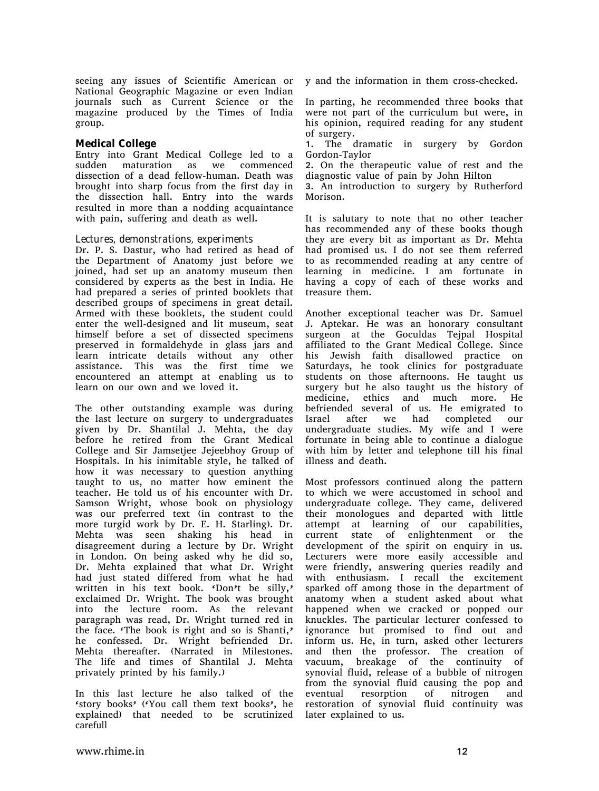seeing any issues of Scientific American or National Geographic Magazine or even Indian journals such as Current Science or the magazine produced by the Times of India group.

#### **Medical College**

Entry into Grant Medical College led to a sudden maturation as we commenced dissection of a dead fellow-human. Death was brought into sharp focus from the first day in the dissection hall. Entry into the wards resulted in more than a nodding acquaintance with pain, suffering and death as well.

#### *Lectures, demonstrations, experiments*

Dr. P. S. Dastur, who had retired as head of the Department of Anatomy just before we joined, had set up an anatomy museum then considered by experts as the best in India. He had prepared a series of printed booklets that described groups of specimens in great detail. Armed with these booklets, the student could enter the well-designed and lit museum, seat himself before a set of dissected specimens preserved in formaldehyde in glass jars and learn intricate details without any other assistance. This was the first time we encountered an attempt at enabling us to learn on our own and we loved it.

The other outstanding example was during the last lecture on surgery to undergraduates given by Dr. Shantilal J. Mehta, the day before he retired from the Grant Medical College and Sir Jamsetjee Jejeebhoy Group of Hospitals. In his inimitable style, he talked of how it was necessary to question anything taught to us, no matter how eminent the teacher. He told us of his encounter with Dr. Samson Wright, whose book on physiology was our preferred text (in contrast to the more turgid work by Dr. E. H. Starling). Dr. Mehta was seen shaking his head in disagreement during a lecture by Dr. Wright in London. On being asked why he did so, Dr. Mehta explained that what Dr. Wright had just stated differed from what he had written in his text book. 'Don't be silly,' exclaimed Dr. Wright. The book was brought into the lecture room. As the relevant paragraph was read, Dr. Wright turned red in the face. 'The book is right and so is Shanti,' he confessed. Dr. Wright befriended Dr. Mehta thereafter. (Narrated in Milestones. The life and times of Shantilal J. Mehta privately printed by his family.)

In this last lecture he also talked of the 'story books' ('You call them text books', he explained) that needed to be scrutinized carefull

y and the information in them cross-checked.

In parting, he recommended three books that were not part of the curriculum but were, in his opinion, required reading for any student of surgery.

1. The dramatic in surgery by Gordon Gordon-Taylor

2. On the therapeutic value of rest and the diagnostic value of pain by John Hilton

3. An introduction to surgery by Rutherford Morison.

It is salutary to note that no other teacher has recommended any of these books though they are every bit as important as Dr. Mehta had promised us. I do not see them referred to as recommended reading at any centre of learning in medicine. I am fortunate in having a copy of each of these works and treasure them.

Another exceptional teacher was Dr. Samuel J. Aptekar. He was an honorary consultant surgeon at the Goculdas Tejpal Hospital affiliated to the Grant Medical College. Since his Jewish faith disallowed practice on Saturdays, he took clinics for postgraduate students on those afternoons. He taught us surgery but he also taught us the history of medicine, ethics and much more. He befriended several of us. He emigrated to Israel after we had completed our undergraduate studies. My wife and I were fortunate in being able to continue a dialogue with him by letter and telephone till his final illness and death.

Most professors continued along the pattern to which we were accustomed in school and undergraduate college. They came, delivered their monologues and departed with little attempt at learning of our capabilities, current state of enlightenment or the development of the spirit on enquiry in us. Lecturers were more easily accessible and were friendly, answering queries readily and with enthusiasm. I recall the excitement sparked off among those in the department of anatomy when a student asked about what happened when we cracked or popped our knuckles. The particular lecturer confessed to ignorance but promised to find out and inform us. He, in turn, asked other lecturers and then the professor. The creation of vacuum, breakage of the continuity of synovial fluid, release of a bubble of nitrogen from the synovial fluid causing the pop and eventual resorption of nitrogen and restoration of synovial fluid continuity was later explained to us.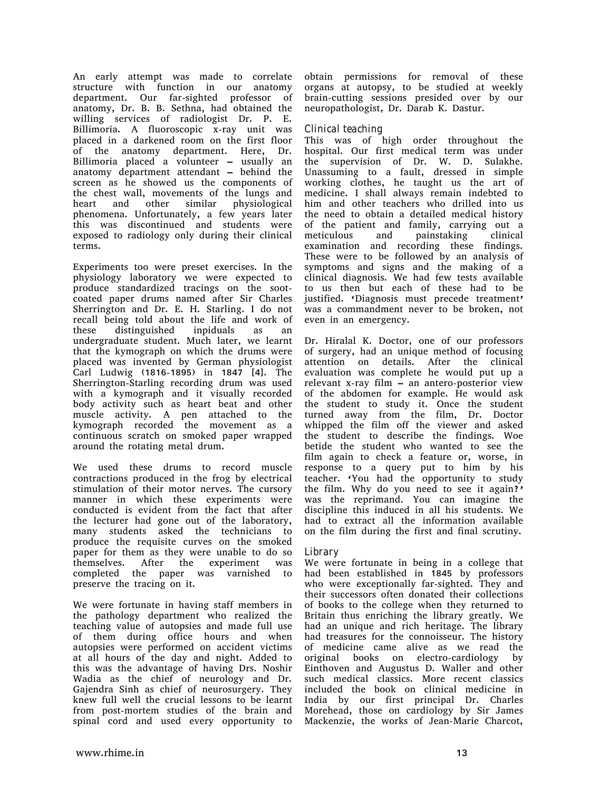An early attempt was made to correlate structure with function in our anatomy department. Our far-sighted professor of anatomy, Dr. B. B. Sethna, had obtained the willing services of radiologist Dr. P. E. Billimoria. A fluoroscopic x-ray unit was placed in a darkened room on the first floor of the anatomy department. Here, Dr. Billimoria placed a volunteer – usually an anatomy department attendant – behind the screen as he showed us the components of the chest wall, movements of the lungs and heart and other similar physiological phenomena. Unfortunately, a few years later this was discontinued and students were exposed to radiology only during their clinical terms.

Experiments too were preset exercises. In the physiology laboratory we were expected to produce standardized tracings on the sootcoated paper drums named after Sir Charles Sherrington and Dr. E. H. Starling. I do not recall being told about the life and work of these distinguished inpiduals as an undergraduate student. Much later, we learnt that the kymograph on which the drums were placed was invented by German physiologist Carl Ludwig (1816-1895) in 1847 [4]. The Sherrington-Starling recording drum was used with a kymograph and it visually recorded body activity such as heart beat and other muscle activity. A pen attached to the kymograph recorded the movement as a continuous scratch on smoked paper wrapped around the rotating metal drum.

We used these drums to record muscle contractions produced in the frog by electrical stimulation of their motor nerves. The cursory manner in which these experiments were conducted is evident from the fact that after the lecturer had gone out of the laboratory, many students asked the technicians to produce the requisite curves on the smoked paper for them as they were unable to do so themselves. After the experiment was completed the paper was varnished to preserve the tracing on it.

We were fortunate in having staff members in the pathology department who realized the teaching value of autopsies and made full use of them during office hours and when autopsies were performed on accident victims at all hours of the day and night. Added to this was the advantage of having Drs. Noshir Wadia as the chief of neurology and Dr. Gajendra Sinh as chief of neurosurgery. They knew full well the crucial lessons to be learnt from post-mortem studies of the brain and spinal cord and used every opportunity to

obtain permissions for removal of these organs at autopsy, to be studied at weekly brain-cutting sessions presided over by our neuropathologist, Dr. Darab K. Dastur.

### *Clinical teaching*

This was of high order throughout the hospital. Our first medical term was under the supervision of Dr. W. D. Sulakhe. Unassuming to a fault, dressed in simple working clothes, he taught us the art of medicine. I shall always remain indebted to him and other teachers who drilled into us the need to obtain a detailed medical history of the patient and family, carrying out a meticulous and painstaking clinical examination and recording these findings. These were to be followed by an analysis of symptoms and signs and the making of a clinical diagnosis. We had few tests available to us then but each of these had to be justified. 'Diagnosis must precede treatment' was a commandment never to be broken, not even in an emergency.

Dr. Hiralal K. Doctor, one of our professors of surgery, had an unique method of focusing attention on details. After the clinical evaluation was complete he would put up a relevant x-ray film – an antero-posterior view of the abdomen for example. He would ask the student to study it. Once the student turned away from the film, Dr. Doctor whipped the film off the viewer and asked the student to describe the findings. Woe betide the student who wanted to see the film again to check a feature or, worse, in response to a query put to him by his teacher. 'You had the opportunity to study the film. Why do you need to see it again?' was the reprimand. You can imagine the discipline this induced in all his students. We had to extract all the information available on the film during the first and final scrutiny.

#### *Library*

We were fortunate in being in a college that had been established in 1845 by professors who were exceptionally far-sighted. They and their successors often donated their collections of books to the college when they returned to Britain thus enriching the library greatly. We had an unique and rich heritage. The library had treasures for the connoisseur. The history of medicine came alive as we read the original books on electro-cardiology by Einthoven and Augustus D. Waller and other such medical classics. More recent classics included the book on clinical medicine in India by our first principal Dr. Charles Morehead, those on cardiology by Sir James Mackenzie, the works of Jean-Marie Charcot,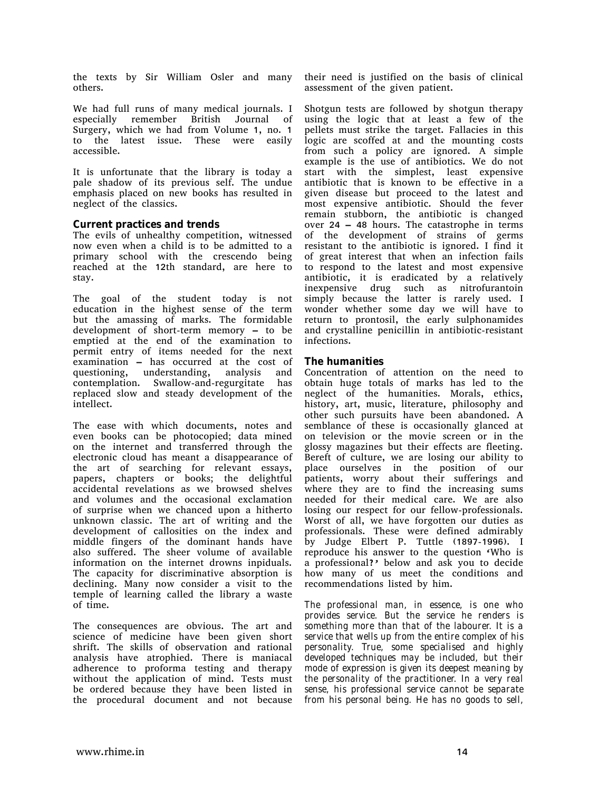the texts by Sir William Osler and many others.

We had full runs of many medical journals. I especially remember British Journal of Surgery, which we had from Volume 1, no. 1 to the latest issue. These were easily accessible.

It is unfortunate that the library is today a pale shadow of its previous self. The undue emphasis placed on new books has resulted in neglect of the classics.

#### **Current practices and trends**

The evils of unhealthy competition, witnessed now even when a child is to be admitted to a primary school with the crescendo being reached at the 12th standard, are here to stay.

The goal of the student today is not education in the highest sense of the term but the amassing of marks. The formidable development of short-term memory – to be emptied at the end of the examination to permit entry of items needed for the next examination – has occurred at the cost of questioning, understanding, analysis and contemplation. Swallow-and-regurgitate has replaced slow and steady development of the intellect.

The ease with which documents, notes and even books can be photocopied; data mined on the internet and transferred through the electronic cloud has meant a disappearance of the art of searching for relevant essays, papers, chapters or books; the delightful accidental revelations as we browsed shelves and volumes and the occasional exclamation of surprise when we chanced upon a hitherto unknown classic. The art of writing and the development of callosities on the index and middle fingers of the dominant hands have also suffered. The sheer volume of available information on the internet drowns inpiduals. The capacity for discriminative absorption is declining. Many now consider a visit to the temple of learning called the library a waste of time.

The consequences are obvious. The art and science of medicine have been given short shrift. The skills of observation and rational analysis have atrophied. There is maniacal adherence to proforma testing and therapy without the application of mind. Tests must be ordered because they have been listed in the procedural document and not because

their need is justified on the basis of clinical assessment of the given patient.

Shotgun tests are followed by shotgun therapy using the logic that at least a few of the pellets must strike the target. Fallacies in this logic are scoffed at and the mounting costs from such a policy are ignored. A simple example is the use of antibiotics. We do not start with the simplest, least expensive antibiotic that is known to be effective in a given disease but proceed to the latest and most expensive antibiotic. Should the fever remain stubborn, the antibiotic is changed over 24 – 48 hours. The catastrophe in terms of the development of strains of germs resistant to the antibiotic is ignored. I find it of great interest that when an infection fails to respond to the latest and most expensive antibiotic, it is eradicated by a relatively inexpensive drug such as nitrofurantoin simply because the latter is rarely used. I wonder whether some day we will have to return to prontosil, the early sulphonamides and crystalline penicillin in antibiotic-resistant infections.

# **The humanities**

Concentration of attention on the need to obtain huge totals of marks has led to the neglect of the humanities. Morals, ethics, history, art, music, literature, philosophy and other such pursuits have been abandoned. A semblance of these is occasionally glanced at on television or the movie screen or in the glossy magazines but their effects are fleeting. Bereft of culture, we are losing our ability to place ourselves in the position of our patients, worry about their sufferings and where they are to find the increasing sums needed for their medical care. We are also losing our respect for our fellow-professionals. Worst of all, we have forgotten our duties as professionals. These were defined admirably by Judge Elbert P. Tuttle (1897-1996). I reproduce his answer to the question 'Who is a professional?' below and ask you to decide how many of us meet the conditions and recommendations listed by him.

*The professional man, in essence, is one who provides service. But the service he renders is something more than that of the labourer. It is a service that wells up from the entire complex of his personality. True, some specialised and highly developed techniques may be included, but their mode of expression is given its deepest meaning by the personality of the practitioner. In a very real sense, his professional service cannot be separate from his personal being. He has no goods to sell,*